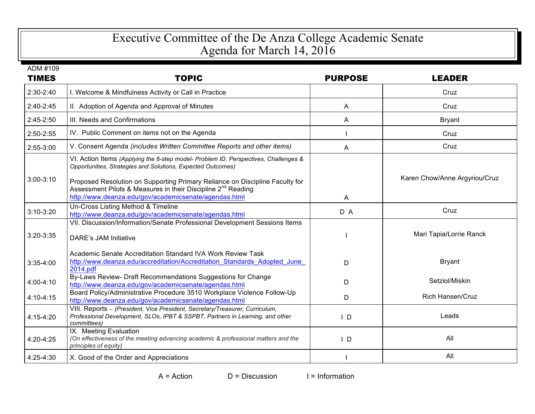## Executive Committee of the De Anza College Academic Senate Agenda for March 14, 2016

| ADM #109      |                                                                                                                                                                                                                                                                                                                |                |                               |
|---------------|----------------------------------------------------------------------------------------------------------------------------------------------------------------------------------------------------------------------------------------------------------------------------------------------------------------|----------------|-------------------------------|
| <b>TIMES</b>  | <b>TOPIC</b>                                                                                                                                                                                                                                                                                                   | <b>PURPOSE</b> | <b>LEADER</b>                 |
| 2:30-2:40     | I. Welcome & Mindfulness Activity or Call in Practice                                                                                                                                                                                                                                                          |                | Cruz                          |
| $2:40-2:45$   | II. Adoption of Agenda and Approval of Minutes                                                                                                                                                                                                                                                                 | A              | Cruz                          |
| 2:45-2:50     | III. Needs and Confirmations                                                                                                                                                                                                                                                                                   | A              | <b>Bryant</b>                 |
| 2:50-2:55     | IV. Public Comment on items not on the Agenda                                                                                                                                                                                                                                                                  |                | Cruz                          |
| 2:55-3:00     | V. Consent Agenda (includes Written Committee Reports and other items)                                                                                                                                                                                                                                         | A              | Cruz                          |
| $3:00-3:10$   | VI. Action Items (Applying the 6-step model- Problem ID, Perspectives, Challenges &<br>Opportunities, Strategies and Solutions, Expected Outcomes)<br>Proposed Resolution on Supporting Primary Reliance on Discipline Faculty for<br>Assessment Pilots & Measures in their Discipline 2 <sup>nd</sup> Reading |                | Karen Chow/Anne Argyriou/Cruz |
|               | http://www.deanza.edu/gov/academicsenate/agendas.html                                                                                                                                                                                                                                                          | A              |                               |
| $3:10-3:20$   | Un-Cross Listing Method & Timeline<br>http://www.deanza.edu/gov/academicsenate/agendas.html                                                                                                                                                                                                                    | D A            | Cruz                          |
| 3:20-3:35     | VII. Discussion/Information/Senate Professional Development Sessions Items<br><b>DARE's JAM Initiative</b>                                                                                                                                                                                                     |                | Mari Tapia/Lorrie Ranck       |
| $3:35-4:00$   | Academic Senate Accreditation Standard IVA Work Review Task<br>http://www.deanza.edu/accreditation/Accreditation Standards Adopted June<br>2014.pdf                                                                                                                                                            | D              | <b>Bryant</b>                 |
| 4:00-4:10     | By-Laws Review- Draft Recommendations Suggestions for Change<br>http://www.deanza.edu/gov/academicsenate/agendas.html                                                                                                                                                                                          | D              | Setziol/Miskin                |
| $4:10 - 4:15$ | Board Policy/Administrative Procedure 3510 Workplace Violence Follow-Up<br>http://www.deanza.edu/gov/academicsenate/agendas.html                                                                                                                                                                               | D              | <b>Rich Hansen/Cruz</b>       |
| 4:15-4:20     | VIII. Reports - (President, Vice President, Secretary/Treasurer, Curriculum,<br>Professional Development, SLOs, IPBT & SSPBT, Partners in Learning, and other<br>committees)                                                                                                                                   | $\mathsf{I}$ D | Leads                         |
| 4:20-4:25     | IX. Meeting Evaluation<br>(On effectiveness of the meeting advancing academic & professional matters and the<br>principles of equity)                                                                                                                                                                          | $\vert$ D      | All                           |
| 4:25-4:30     | X. Good of the Order and Appreciations                                                                                                                                                                                                                                                                         |                | All                           |